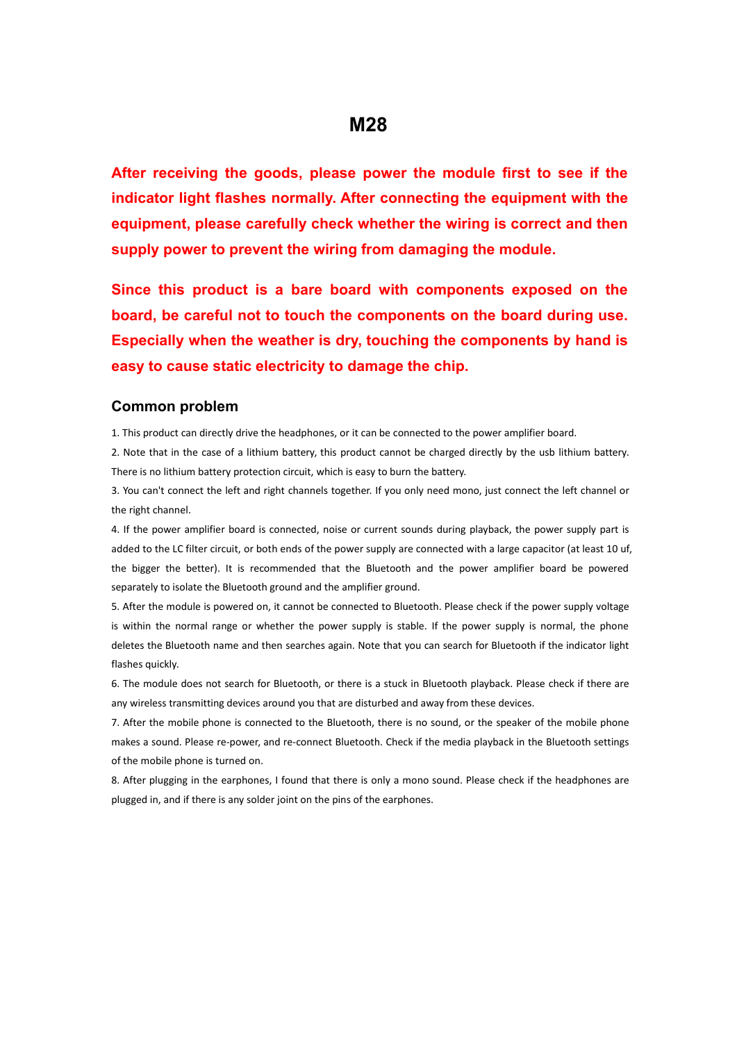## **M28**

**After receiving the goods, please power the module first to see if the indicator light flashes normally. After connecting the equipment with the equipment, please carefully check whether the wiring is correct and then supply power to prevent the wiring from damaging the module.**

**Since this product is a bare board with components exposed on the board, be careful not to touch the components on the board during use. Especially when the weather is dry, touching the components by hand is easy to cause static electricity to damage the chip.**

## **Common problem**

1. This product can directly drive the headphones, or it can be connected to the power amplifier board.

2. Note that in the case of a lithium battery, this product cannot be charged directly by the usb lithium battery. There is no lithium battery protection circuit, which is easy to burn the battery.

3. You can't connect the left and right channels together. If you only need mono, just connect the left channel or the right channel.

4. If the power amplifier board is connected, noise or current sounds during playback, the power supply part is added to the LC filter circuit, or both ends of the power supply are connected with a large capacitor (at least 10 uf, the bigger the better). It is recommended that the Bluetooth and the power amplifier board be powered separately to isolate the Bluetooth ground and the amplifier ground.

5. After the module is powered on, it cannot be connected to Bluetooth. Please check if the power supply voltage is within the normal range or whether the power supply is stable. If the power supply is normal, the phone deletes the Bluetooth name and then searches again. Note that you can search for Bluetooth if the indicator light flashes quickly.

6. The module does not search for Bluetooth, or there is a stuck in Bluetooth playback. Please check if there are any wireless transmitting devices around you that are disturbed and away from these devices.

7. After the mobile phone is connected to the Bluetooth, there is no sound, or the speaker of the mobile phone makes a sound. Please re-power, and re-connect Bluetooth. Check if the media playback in the Bluetooth settings of the mobile phone is turned on.

8. After plugging in the earphones, I found that there is only a mono sound. Please check if the headphones are plugged in, and if there is any solder joint on the pins of the earphones.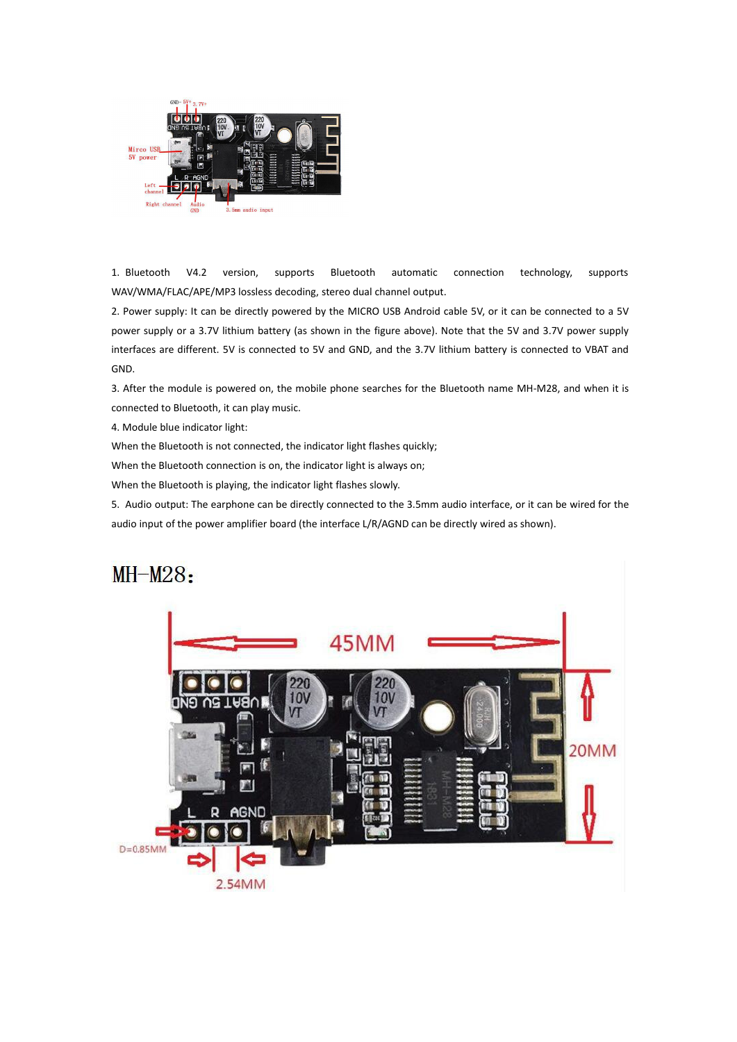

1. Bluetooth V4.2 version, supports Bluetooth automatic connection technology, supports WAV/WMA/FLAC/APE/MP3 lossless decoding, stereo dual channel output.

2. Power supply: It can be directly powered by the MICRO USB Android cable 5V, or it can be connected to a 5V power supply or a 3.7V lithium battery (as shown in the figure above). Note that the 5V and 3.7V power supply interfaces are different. 5V is connected to 5V and GND, and the 3.7V lithium battery is connected to VBAT and GND.

3. After the module is powered on, the mobile phone searches for the Bluetooth name MH-M28, and when it is connected to Bluetooth, it can play music.

4. Module blue indicator light:

When the Bluetooth is not connected, the indicator light flashes quickly;

When the Bluetooth connection is on, the indicator light is always on;

When the Bluetooth is playing, the indicator light flashes slowly.

5. Audio output: The earphone can be directly connected to the 3.5mm audio interface, or it can be wired for the audio input of the power amplifier board (the interface L/R/AGND can be directly wired as shown).

## $MH-M28:$

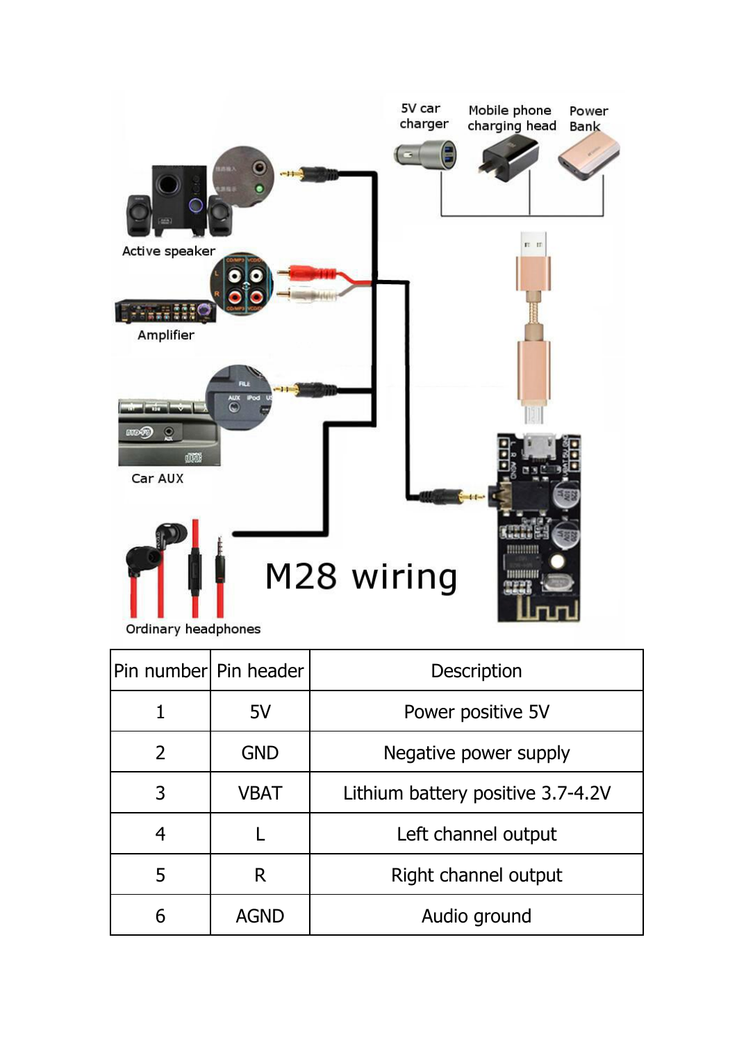

|                | Pin number  Pin header | <b>Description</b>                |
|----------------|------------------------|-----------------------------------|
|                | 5V                     | Power positive 5V                 |
| $\overline{2}$ | <b>GND</b>             | Negative power supply             |
| 3              | <b>VBAT</b>            | Lithium battery positive 3.7-4.2V |
| 4              |                        | Left channel output               |
| 5              | R                      | Right channel output              |
| 6              | <b>AGND</b>            | Audio ground                      |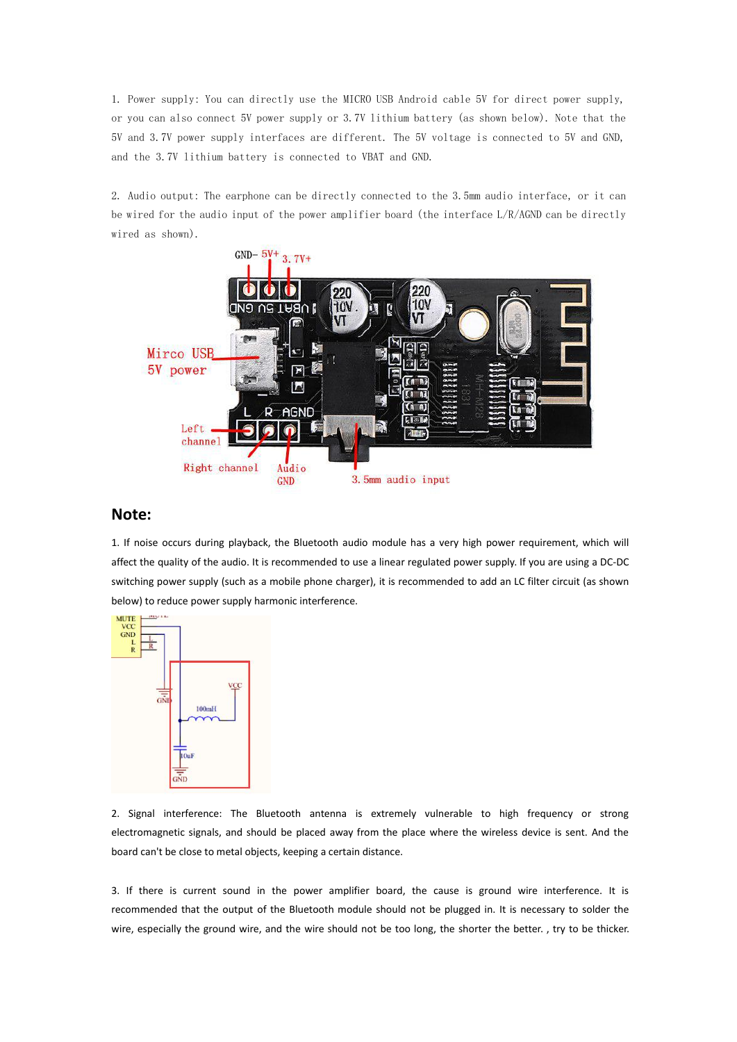1. Power supply: You can directly use the MICRO USB Android cable 5V for direct power supply, or you can also connect 5V power supply or 3.7V lithium battery (as shown below). Note that the 5V and 3.7V power supply interfaces are different. The 5V voltage is connected to 5V and GND, and the 3.7V lithium battery is connected to VBAT and GND.

2. Audio output: The earphone can be directly connected to the 3.5mm audio interface, or it can be wired for the audio input of the power amplifier board (the interface L/R/AGND can be directly wired as shown).



## **Note:**

1. If noise occurs during playback, the Bluetooth audio module has a very high power requirement, which will affect the quality of the audio. It is recommended to use a linear regulated power supply. If you are using a DC-DC switching power supply (such as a mobile phone charger), it is recommended to add an LC filter circuit (as shown below) to reduce power supply harmonic interference.



2. Signal interference: The Bluetooth antenna is extremely vulnerable to high frequency or strong electromagnetic signals, and should be placed away from the place where the wireless device is sent. And the board can't be close to metal objects, keeping a certain distance.

3. If there is current sound in the power amplifier board, the cause is ground wire interference. It is recommended that the output of the Bluetooth module should not be plugged in. It is necessary to solder the wire, especially the ground wire, and the wire should not be too long, the shorter the better. , try to be thicker.